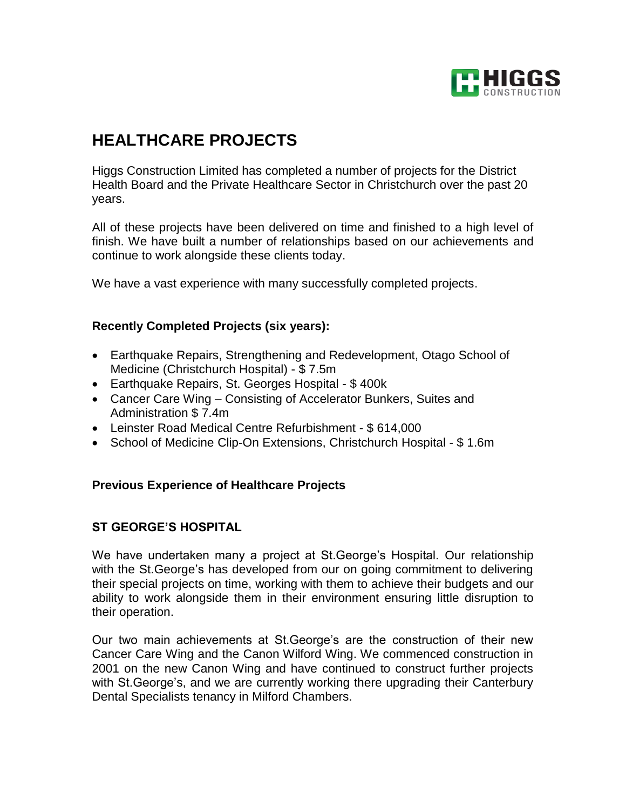

# **HEALTHCARE PROJECTS**

Higgs Construction Limited has completed a number of projects for the District Health Board and the Private Healthcare Sector in Christchurch over the past 20 years.

All of these projects have been delivered on time and finished to a high level of finish. We have built a number of relationships based on our achievements and continue to work alongside these clients today.

We have a vast experience with many successfully completed projects.

#### **Recently Completed Projects (six years):**

- Earthquake Repairs, Strengthening and Redevelopment, Otago School of Medicine (Christchurch Hospital) - \$ 7.5m
- Earthquake Repairs, St. Georges Hospital \$ 400k
- Cancer Care Wing Consisting of Accelerator Bunkers, Suites and Administration \$ 7.4m
- Leinster Road Medical Centre Refurbishment \$ 614,000
- School of Medicine Clip-On Extensions, Christchurch Hospital \$1.6m

#### **Previous Experience of Healthcare Projects**

## **ST GEORGE'S HOSPITAL**

We have undertaken many a project at St.George's Hospital. Our relationship with the St.George's has developed from our on going commitment to delivering their special projects on time, working with them to achieve their budgets and our ability to work alongside them in their environment ensuring little disruption to their operation.

Our two main achievements at St.George's are the construction of their new Cancer Care Wing and the Canon Wilford Wing. We commenced construction in 2001 on the new Canon Wing and have continued to construct further projects with St.George's, and we are currently working there upgrading their Canterbury Dental Specialists tenancy in Milford Chambers.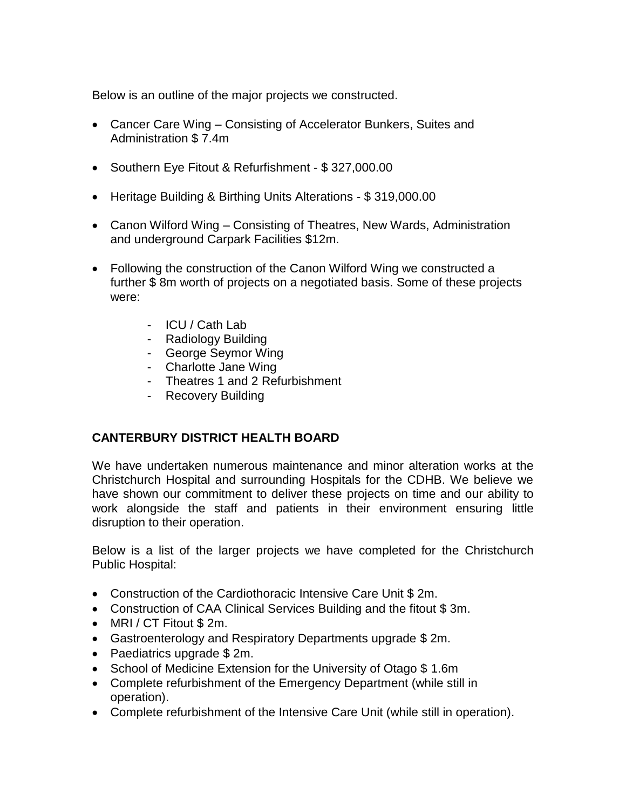Below is an outline of the major projects we constructed.

- Cancer Care Wing Consisting of Accelerator Bunkers, Suites and Administration \$ 7.4m
- Southern Eye Fitout & Refurfishment \$327,000.00
- Heritage Building & Birthing Units Alterations \$ 319,000.00
- Canon Wilford Wing Consisting of Theatres, New Wards, Administration and underground Carpark Facilities \$12m.
- Following the construction of the Canon Wilford Wing we constructed a further \$ 8m worth of projects on a negotiated basis. Some of these projects were:
	- ICU / Cath Lab
	- Radiology Building
	- George Seymor Wing
	- Charlotte Jane Wing
	- Theatres 1 and 2 Refurbishment
	- Recovery Building

## **CANTERBURY DISTRICT HEALTH BOARD**

We have undertaken numerous maintenance and minor alteration works at the Christchurch Hospital and surrounding Hospitals for the CDHB. We believe we have shown our commitment to deliver these projects on time and our ability to work alongside the staff and patients in their environment ensuring little disruption to their operation.

Below is a list of the larger projects we have completed for the Christchurch Public Hospital:

- Construction of the Cardiothoracic Intensive Care Unit \$ 2m.
- Construction of CAA Clinical Services Building and the fitout \$ 3m.
- MRI / CT Fitout \$ 2m.
- Gastroenterology and Respiratory Departments upgrade \$ 2m.
- Paediatrics upgrade \$ 2m.
- School of Medicine Extension for the University of Otago \$1.6m
- Complete refurbishment of the Emergency Department (while still in operation).
- Complete refurbishment of the Intensive Care Unit (while still in operation).